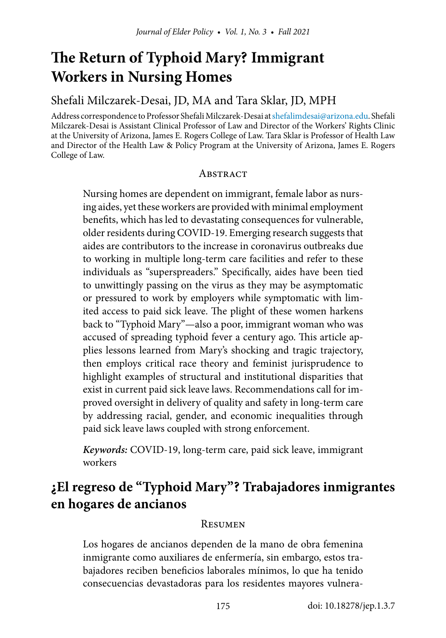# **The Return of Typhoid Mary? Immigrant Workers in Nursing Homes**

#### Shefali Milczarek-Desai, JD, MA and Tara Sklar, JD, MPH

Address correspondence to Professor Shefali Milczarek-Desai at [shefalimdesai@arizona.edu.](mailto:shefalimdesai%40arizona.edu?subject=) Shefali Milczarek-Desai is Assistant Clinical Professor of Law and Director of the Workers' Rights Clinic at the University of Arizona, James E. Rogers College of Law. Tara Sklar is Professor of Health Law and Director of the Health Law & Policy Program at the University of Arizona, James E. Rogers College of Law.

#### **ABSTRACT**

Nursing homes are dependent on immigrant, female labor as nursing aides, yet these workers are provided with minimal employment benefits, which has led to devastating consequences for vulnerable, older residents during COVID-19. Emerging research suggests that aides are contributors to the increase in coronavirus outbreaks due to working in multiple long-term care facilities and refer to these individuals as "superspreaders." Specifically, aides have been tied to unwittingly passing on the virus as they may be asymptomatic or pressured to work by employers while symptomatic with limited access to paid sick leave. The plight of these women harkens back to "Typhoid Mary"—also a poor, immigrant woman who was accused of spreading typhoid fever a century ago. This article applies lessons learned from Mary's shocking and tragic trajectory, then employs critical race theory and feminist jurisprudence to highlight examples of structural and institutional disparities that exist in current paid sick leave laws. Recommendations call for improved oversight in delivery of quality and safety in long-term care by addressing racial, gender, and economic inequalities through paid sick leave laws coupled with strong enforcement.

*Keywords:* COVID-19, long-term care, paid sick leave, immigrant workers

## **¿El regreso de "Typhoid Mary"? Trabajadores inmigrantes en hogares de ancianos**

#### **RESUMEN**

Los hogares de ancianos dependen de la mano de obra femenina inmigrante como auxiliares de enfermería, sin embargo, estos trabajadores reciben beneficios laborales mínimos, lo que ha tenido consecuencias devastadoras para los residentes mayores vulnera-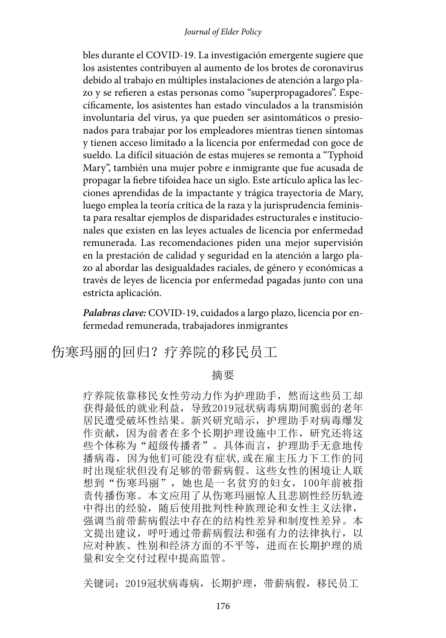#### *Journal of Elder Policy*

bles durante el COVID-19. La investigación emergente sugiere que los asistentes contribuyen al aumento de los brotes de coronavirus debido al trabajo en múltiples instalaciones de atención a largo plazo y se refieren a estas personas como "superpropagadores". Específicamente, los asistentes han estado vinculados a la transmisión involuntaria del virus, ya que pueden ser asintomáticos o presionados para trabajar por los empleadores mientras tienen síntomas y tienen acceso limitado a la licencia por enfermedad con goce de sueldo. La difícil situación de estas mujeres se remonta a "Typhoid Mary", también una mujer pobre e inmigrante que fue acusada de propagar la fiebre tifoidea hace un siglo. Este artículo aplica las lecciones aprendidas de la impactante y trágica trayectoria de Mary, luego emplea la teoría crítica de la raza y la jurisprudencia feminista para resaltar ejemplos de disparidades estructurales e institucionales que existen en las leyes actuales de licencia por enfermedad remunerada. Las recomendaciones piden una mejor supervisión en la prestación de calidad y seguridad en la atención a largo plazo al abordar las desigualdades raciales, de género y económicas a través de leyes de licencia por enfermedad pagadas junto con una estricta aplicación.

*Palabras clave:* COVID-19, cuidados a largo plazo, licencia por enfermedad remunerada, trabajadores inmigrantes

## 伤寒玛丽的回归?疗养院的移民员工

#### 摘要

疗养院依靠移民女性劳动力作为护理助手,然而这些员工却 获得最低的就业利益,导致2019冠状病毒病期间脆弱的老年 居民遭受破坏性结果。新兴研究暗示,护理助手对病毒爆发 作贡献,因为前者在多个长期护理设施中工作,研究还将这 些个体称为"超级传播者"。具体而言,护理助手无意地传 播病毒,因为他们可能没有症状,或在雇主压力下工作的同 时出现症状但没有足够的带薪病假。这些女性的困境让人联 想到"伤寒玛丽",她也是一名贫穷的妇女,100年前被指 责传播伤寒。本文应用了从伤寒玛丽惊人且悲剧性经历轨迹 中得出的经验,随后使用批判性种族理论和女性主义法律, 强调当前带薪病假法中存在的结构性差异和制度性差异。本 文提出建议,呼吁通过带薪病假法和强有力的法律执行, 以 应对种族、性别和经济方面的不平等,进而在长期护理的质 量和安全交付过程中提高监管。

关键词:2019冠状病毒病,长期护理,带薪病假,移民员工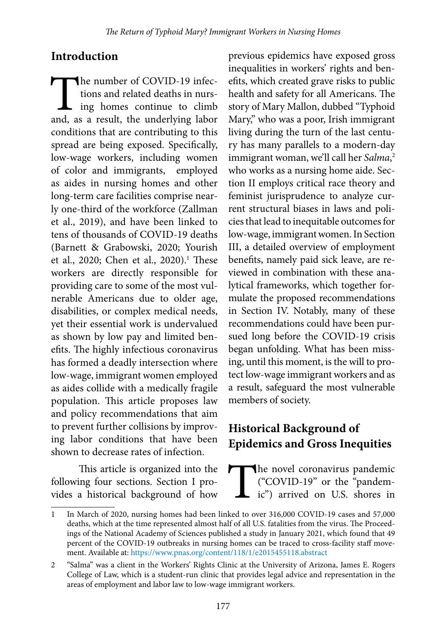### **Introduction**

The number of COVID-19 infections and related deaths in nurs-<br>ing homes continue to climb<br>and, as a result, the underlying labor tions and related deaths in nursing homes continue to climb and, as a result, the underlying labor conditions that are contributing to this spread are being exposed. Specifically, low-wage workers, including women of color and immigrants, employed as aides in nursing homes and other long-term care facilities comprise nearly one-third of the workforce (Zallman et al., 2019), and have been linked to tens of thousands of COVID-19 deaths (Barnett & Grabowski, 2020; Yourish et al., 2020; Chen et al., 2020).<sup>1</sup> These workers are directly responsible for providing care to some of the most vulnerable Americans due to older age, disabilities, or complex medical needs, yet their essential work is undervalued as shown by low pay and limited benefits. The highly infectious coronavirus has formed a deadly intersection where low-wage, immigrant women employed as aides collide with a medically fragile population. This article proposes law and policy recommendations that aim to prevent further collisions by improving labor conditions that have been shown to decrease rates of infection.

This article is organized into the following four sections. Section I provides a historical background of how

previous epidemics have exposed gross inequalities in workers' rights and benefits, which created grave risks to public health and safety for all Americans. The story of Mary Mallon, dubbed "Typhoid Mary," who was a poor, Irish immigrant living during the turn of the last century has many parallels to a modern-day immigrant woman, we'll call her *Salma*, 2 who works as a nursing home aide. Section II employs critical race theory and feminist jurisprudence to analyze current structural biases in laws and policies that lead to inequitable outcomes for low-wage, immigrant women. In Section III, a detailed overview of employment benefits, namely paid sick leave, are reviewed in combination with these analytical frameworks, which together formulate the proposed recommendations in Section IV. Notably, many of these recommendations could have been pursued long before the COVID-19 crisis began unfolding. What has been missing, until this moment, is the will to protect low-wage immigrant workers and as a result, safeguard the most vulnerable members of society.

## **Historical Background of Epidemics and Gross Inequities**

The novel coronavirus pandemic<br>("COVID-19" or the "pandemic") arrived on U.S. shores in ("COVID-19" or the "pandemic") arrived on U.S. shores in

<sup>1</sup> In March of 2020, nursing homes had been linked to over 316,000 COVID-19 cases and 57,000 deaths, which at the time represented almost half of all U.S. fatalities from the virus. The Proceedings of the National Academy of Sciences published a study in January 2021, which found that 49 percent of the COVID-19 outbreaks in nursing homes can be traced to cross-facility staff movement. Available at: <https://www.pnas.org/content/118/1/e2015455118.abstract>

<sup>2</sup> "Salma" was a client in the Workers' Rights Clinic at the University of Arizona, James E. Rogers College of Law, which is a student-run clinic that provides legal advice and representation in the areas of employment and labor law to low-wage immigrant workers.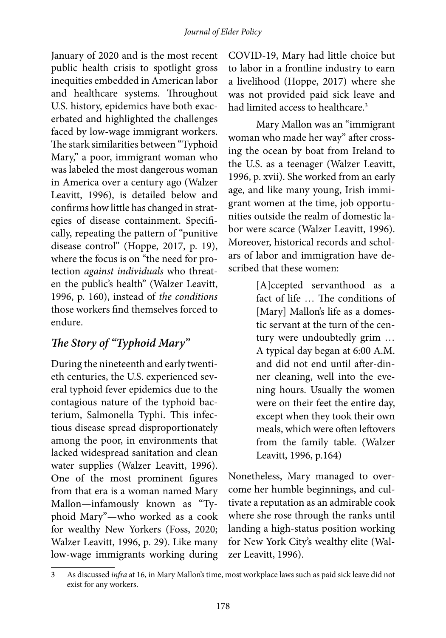January of 2020 and is the most recent public health crisis to spotlight gross inequities embedded in American labor and healthcare systems. Throughout U.S. history, epidemics have both exacerbated and highlighted the challenges faced by low-wage immigrant workers. The stark similarities between "Typhoid Mary," a poor, immigrant woman who was labeled the most dangerous woman in America over a century ago (Walzer Leavitt, 1996), is detailed below and confirms how little has changed in strategies of disease containment. Specifically, repeating the pattern of "punitive disease control" (Hoppe, 2017, p. 19), where the focus is on "the need for protection *against individuals* who threaten the public's health" (Walzer Leavitt, 1996, p. 160), instead of *the conditions* those workers find themselves forced to endure.

## *The Story of "Typhoid Mary"*

During the nineteenth and early twentieth centuries, the U.S. experienced several typhoid fever epidemics due to the contagious nature of the typhoid bacterium, Salmonella Typhi. This infectious disease spread disproportionately among the poor, in environments that lacked widespread sanitation and clean water supplies (Walzer Leavitt, 1996). One of the most prominent figures from that era is a woman named Mary Mallon—infamously known as "Typhoid Mary"—who worked as a cook for wealthy New Yorkers (Foss, 2020; Walzer Leavitt, 1996, p. 29). Like many low-wage immigrants working during

COVID-19, Mary had little choice but to labor in a frontline industry to earn a livelihood (Hoppe, 2017) where she was not provided paid sick leave and had limited access to healthcare.<sup>3</sup>

Mary Mallon was an "immigrant woman who made her way" after crossing the ocean by boat from Ireland to the U.S. as a teenager (Walzer Leavitt, 1996, p. xvii). She worked from an early age, and like many young, Irish immigrant women at the time, job opportunities outside the realm of domestic labor were scarce (Walzer Leavitt, 1996). Moreover, historical records and scholars of labor and immigration have described that these women:

> [A]ccepted servanthood as a fact of life … The conditions of [Mary] Mallon's life as a domestic servant at the turn of the century were undoubtedly grim … A typical day began at 6:00 A.M. and did not end until after-dinner cleaning, well into the evening hours. Usually the women were on their feet the entire day, except when they took their own meals, which were often leftovers from the family table. (Walzer Leavitt, 1996, p.164)

Nonetheless, Mary managed to overcome her humble beginnings, and cultivate a reputation as an admirable cook where she rose through the ranks until landing a high-status position working for New York City's wealthy elite (Walzer Leavitt, 1996).

<sup>3</sup> As discussed *infra* at 16, in Mary Mallon's time, most workplace laws such as paid sick leave did not exist for any workers.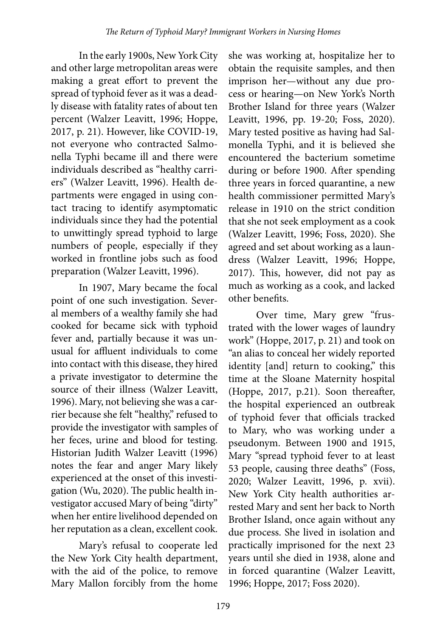In the early 1900s, New York City and other large metropolitan areas were making a great effort to prevent the spread of typhoid fever as it was a deadly disease with fatality rates of about ten percent (Walzer Leavitt, 1996; Hoppe, 2017, p. 21). However, like COVID-19, not everyone who contracted Salmonella Typhi became ill and there were individuals described as "healthy carriers" (Walzer Leavitt, 1996). Health departments were engaged in using contact tracing to identify asymptomatic individuals since they had the potential to unwittingly spread typhoid to large numbers of people, especially if they worked in frontline jobs such as food preparation (Walzer Leavitt, 1996).

In 1907, Mary became the focal point of one such investigation. Several members of a wealthy family she had cooked for became sick with typhoid fever and, partially because it was unusual for affluent individuals to come into contact with this disease, they hired a private investigator to determine the source of their illness (Walzer Leavitt, 1996). Mary, not believing she was a carrier because she felt "healthy," refused to provide the investigator with samples of her feces, urine and blood for testing. Historian Judith Walzer Leavitt (1996) notes the fear and anger Mary likely experienced at the onset of this investigation (Wu, 2020). The public health investigator accused Mary of being "dirty" when her entire livelihood depended on her reputation as a clean, excellent cook.

Mary's refusal to cooperate led the New York City health department, with the aid of the police, to remove Mary Mallon forcibly from the home

she was working at, hospitalize her to obtain the requisite samples, and then imprison her—without any due process or hearing—on New York's North Brother Island for three years (Walzer Leavitt, 1996, pp. 19-20; Foss, 2020). Mary tested positive as having had Salmonella Typhi, and it is believed she encountered the bacterium sometime during or before 1900. After spending three years in forced quarantine, a new health commissioner permitted Mary's release in 1910 on the strict condition that she not seek employment as a cook (Walzer Leavitt, 1996; Foss, 2020). She agreed and set about working as a laundress (Walzer Leavitt, 1996; Hoppe, 2017). This, however, did not pay as much as working as a cook, and lacked other benefits.

Over time, Mary grew "frustrated with the lower wages of laundry work" (Hoppe, 2017, p. 21) and took on "an alias to conceal her widely reported identity [and] return to cooking," this time at the Sloane Maternity hospital (Hoppe, 2017, p.21). Soon thereafter, the hospital experienced an outbreak of typhoid fever that officials tracked to Mary, who was working under a pseudonym. Between 1900 and 1915, Mary "spread typhoid fever to at least 53 people, causing three deaths" (Foss, 2020; Walzer Leavitt, 1996, p. xvii). New York City health authorities arrested Mary and sent her back to North Brother Island, once again without any due process. She lived in isolation and practically imprisoned for the next 23 years until she died in 1938, alone and in forced quarantine (Walzer Leavitt, 1996; Hoppe, 2017; Foss 2020).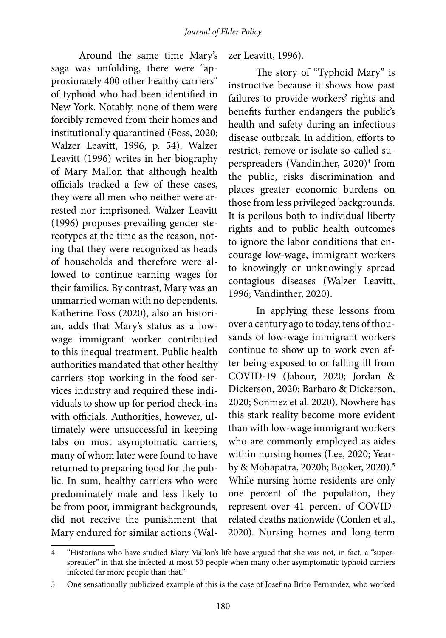Around the same time Mary's saga was unfolding, there were "approximately 400 other healthy carriers" of typhoid who had been identified in New York. Notably, none of them were forcibly removed from their homes and institutionally quarantined (Foss, 2020; Walzer Leavitt, 1996, p. 54). Walzer Leavitt (1996) writes in her biography of Mary Mallon that although health officials tracked a few of these cases, they were all men who neither were arrested nor imprisoned. Walzer Leavitt (1996) proposes prevailing gender stereotypes at the time as the reason, noting that they were recognized as heads of households and therefore were allowed to continue earning wages for their families. By contrast, Mary was an unmarried woman with no dependents. Katherine Foss (2020), also an historian, adds that Mary's status as a lowwage immigrant worker contributed to this inequal treatment. Public health authorities mandated that other healthy carriers stop working in the food services industry and required these individuals to show up for period check-ins with officials. Authorities, however, ultimately were unsuccessful in keeping tabs on most asymptomatic carriers, many of whom later were found to have returned to preparing food for the public. In sum, healthy carriers who were predominately male and less likely to be from poor, immigrant backgrounds, did not receive the punishment that Mary endured for similar actions (Walzer Leavitt, 1996).

The story of "Typhoid Mary" is instructive because it shows how past failures to provide workers' rights and benefits further endangers the public's health and safety during an infectious disease outbreak. In addition, efforts to restrict, remove or isolate so-called superspreaders (Vandinther, 2020)<sup>4</sup> from the public, risks discrimination and places greater economic burdens on those from less privileged backgrounds. It is perilous both to individual liberty rights and to public health outcomes to ignore the labor conditions that encourage low-wage, immigrant workers to knowingly or unknowingly spread contagious diseases (Walzer Leavitt, 1996; Vandinther, 2020).

In applying these lessons from over a century ago to today, tens of thousands of low-wage immigrant workers continue to show up to work even after being exposed to or falling ill from COVID-19 (Jabour, 2020; Jordan & Dickerson, 2020; Barbaro & Dickerson, 2020; Sonmez et al. 2020). Nowhere has this stark reality become more evident than with low-wage immigrant workers who are commonly employed as aides within nursing homes (Lee, 2020; Yearby & Mohapatra, 2020b; Booker, 2020).5 While nursing home residents are only one percent of the population, they represent over 41 percent of COVIDrelated deaths nationwide (Conlen et al., 2020). Nursing homes and long-term

<sup>4</sup> "Historians who have studied Mary Mallon's life have argued that she was not, in fact, a "superspreader" in that she infected at most 50 people when many other asymptomatic typhoid carriers infected far more people than that."

<sup>5</sup> One sensationally publicized example of this is the case of Josefina Brito-Fernandez, who worked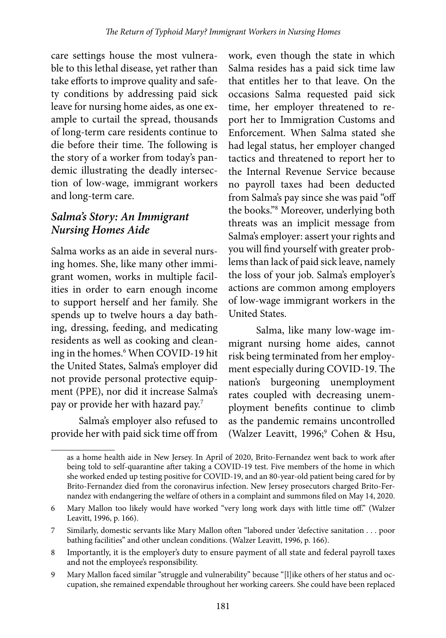care settings house the most vulnerable to this lethal disease, yet rather than take efforts to improve quality and safety conditions by addressing paid sick leave for nursing home aides, as one example to curtail the spread, thousands of long-term care residents continue to die before their time. The following is the story of a worker from today's pandemic illustrating the deadly intersection of low-wage, immigrant workers and long-term care.

### *Salma's Story: An Immigrant Nursing Homes Aide*

Salma works as an aide in several nursing homes. She, like many other immigrant women, works in multiple facilities in order to earn enough income to support herself and her family. She spends up to twelve hours a day bathing, dressing, feeding, and medicating residents as well as cooking and cleaning in the homes.6 When COVID-19 hit the United States, Salma's employer did not provide personal protective equipment (PPE), nor did it increase Salma's pay or provide her with hazard pay.7

Salma's employer also refused to provide her with paid sick time off from work, even though the state in which Salma resides has a paid sick time law that entitles her to that leave. On the occasions Salma requested paid sick time, her employer threatened to report her to Immigration Customs and Enforcement. When Salma stated she had legal status, her employer changed tactics and threatened to report her to the Internal Revenue Service because no payroll taxes had been deducted from Salma's pay since she was paid "off the books."8 Moreover, underlying both threats was an implicit message from Salma's employer: assert your rights and you will find yourself with greater problems than lack of paid sick leave, namely the loss of your job. Salma's employer's actions are common among employers of low-wage immigrant workers in the United States.

Salma, like many low-wage immigrant nursing home aides, cannot risk being terminated from her employment especially during COVID-19. The nation's burgeoning unemployment rates coupled with decreasing unemployment benefits continue to climb as the pandemic remains uncontrolled (Walzer Leavitt, 1996;<sup>9</sup> Cohen & Hsu,

as a home health aide in New Jersey. In April of 2020, Brito-Fernandez went back to work after being told to self-quarantine after taking a COVID-19 test. Five members of the home in which she worked ended up testing positive for COVID-19, and an 80-year-old patient being cared for by Brito-Fernandez died from the coronavirus infection. New Jersey prosecutors charged Brito-Fernandez with endangering the welfare of others in a complaint and summons filed on May 14, 2020.

<sup>6</sup> Mary Mallon too likely would have worked "very long work days with little time off." (Walzer Leavitt, 1996, p. 166).

<sup>7</sup> Similarly, domestic servants like Mary Mallon often "labored under 'defective sanitation . . . poor bathing facilities" and other unclean conditions. (Walzer Leavitt, 1996, p. 166).

<sup>8</sup> Importantly, it is the employer's duty to ensure payment of all state and federal payroll taxes and not the employee's responsibility.

<sup>9</sup> Mary Mallon faced similar "struggle and vulnerability" because "[l]ike others of her status and occupation, she remained expendable throughout her working careers. She could have been replaced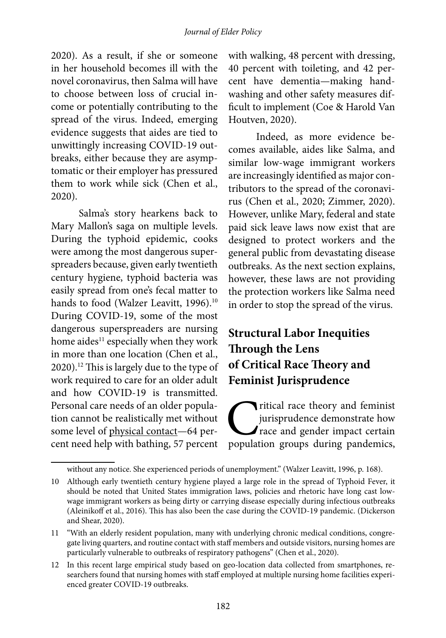2020). As a result, if she or someone in her household becomes ill with the novel coronavirus, then Salma will have to choose between loss of crucial income or potentially contributing to the spread of the virus. Indeed, emerging evidence suggests that aides are tied to unwittingly increasing COVID-19 outbreaks, either because they are asymptomatic or their employer has pressured them to work while sick (Chen et al., 2020).

Salma's story hearkens back to Mary Mallon's saga on multiple levels. During the typhoid epidemic, cooks were among the most dangerous superspreaders because, given early twentieth century hygiene, typhoid bacteria was easily spread from one's fecal matter to hands to food (Walzer Leavitt, 1996).<sup>10</sup> During COVID-19, some of the most dangerous superspreaders are nursing home aides<sup>11</sup> especially when they work in more than one location (Chen et al., 2020).12 This is largely due to the type of work required to care for an older adult and how COVID-19 is transmitted. Personal care needs of an older population cannot be realistically met without some level of physical contact—64 percent need help with bathing, 57 percent

with walking, 48 percent with dressing, 40 percent with toileting, and 42 percent have dementia—making handwashing and other safety measures difficult to implement (Coe & Harold Van Houtven, 2020).

Indeed, as more evidence becomes available, aides like Salma, and similar low-wage immigrant workers are increasingly identified as major contributors to the spread of the coronavirus (Chen et al., 2020; Zimmer, 2020). However, unlike Mary, federal and state paid sick leave laws now exist that are designed to protect workers and the general public from devastating disease outbreaks. As the next section explains, however, these laws are not providing the protection workers like Salma need in order to stop the spread of the virus.

## **Structural Labor Inequities Through the Lens of Critical Race Theory and Feminist Jurisprudence**

Tritical race theory and feminist<br>jurisprudence demonstrate how<br>race and gender impact certain<br>population groups during pandemics, jurisprudence demonstrate how race and gender impact certain population groups during pandemics,

without any notice. She experienced periods of unemployment." (Walzer Leavitt, 1996, p. 168).

<sup>10</sup> Although early twentieth century hygiene played a large role in the spread of Typhoid Fever, it should be noted that United States immigration laws, policies and rhetoric have long cast lowwage immigrant workers as being dirty or carrying disease especially during infectious outbreaks (Aleinikoff et al., 2016). This has also been the case during the COVID-19 pandemic. (Dickerson and Shear, 2020).

<sup>11</sup> "With an elderly resident population, many with underlying chronic medical conditions, congregate living quarters, and routine contact with staff members and outside visitors, nursing homes are particularly vulnerable to outbreaks of respiratory pathogens" (Chen et al., 2020).

<sup>12</sup> In this recent large empirical study based on geo-location data collected from smartphones, researchers found that nursing homes with staff employed at multiple nursing home facilities experienced greater COVID-19 outbreaks.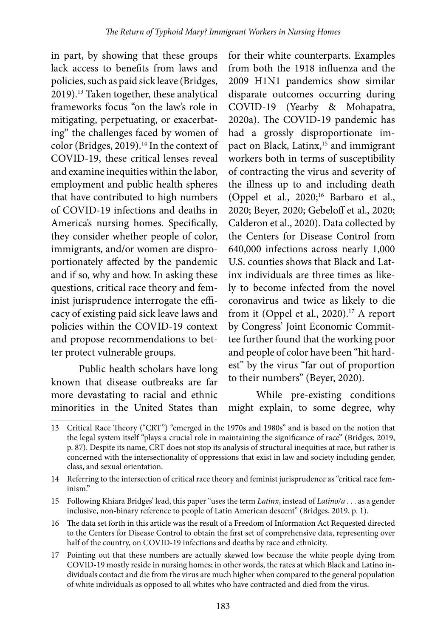in part, by showing that these groups lack access to benefits from laws and policies, such as paid sick leave (Bridges, 2019).13 Taken together, these analytical frameworks focus "on the law's role in mitigating, perpetuating, or exacerbating" the challenges faced by women of color (Bridges, 2019).<sup>14</sup> In the context of COVID-19, these critical lenses reveal and examine inequities within the labor, employment and public health spheres that have contributed to high numbers of COVID-19 infections and deaths in America's nursing homes. Specifically, they consider whether people of color, immigrants, and/or women are disproportionately affected by the pandemic and if so, why and how. In asking these questions, critical race theory and feminist jurisprudence interrogate the efficacy of existing paid sick leave laws and policies within the COVID-19 context and propose recommendations to better protect vulnerable groups.

Public health scholars have long known that disease outbreaks are far more devastating to racial and ethnic minorities in the United States than

for their white counterparts. Examples from both the 1918 influenza and the 2009 H1N1 pandemics show similar disparate outcomes occurring during COVID-19 (Yearby & Mohapatra, 2020a). The COVID-19 pandemic has had a grossly disproportionate impact on Black, Latinx,<sup>15</sup> and immigrant workers both in terms of susceptibility of contracting the virus and severity of the illness up to and including death (Oppel et al., 2020;<sup>16</sup> Barbaro et al., 2020; Beyer, 2020; Gebeloff et al., 2020; Calderon et al., 2020). Data collected by the Centers for Disease Control from 640,000 infections across nearly 1,000 U.S. counties shows that Black and Latinx individuals are three times as likely to become infected from the novel coronavirus and twice as likely to die from it (Oppel et al., 2020).<sup>17</sup> A report by Congress' Joint Economic Committee further found that the working poor and people of color have been "hit hardest" by the virus "far out of proportion to their numbers" (Beyer, 2020).

While pre-existing conditions might explain, to some degree, why

<sup>13</sup> Critical Race Theory ("CRT") "emerged in the 1970s and 1980s" and is based on the notion that the legal system itself "plays a crucial role in maintaining the significance of race" (Bridges, 2019, p. 87). Despite its name, CRT does not stop its analysis of structural inequities at race, but rather is concerned with the intersectionality of oppressions that exist in law and society including gender, class, and sexual orientation.

<sup>14</sup> Referring to the intersection of critical race theory and feminist jurisprudence as "critical race feminism."

<sup>15</sup> Following Khiara Bridges' lead, this paper "uses the term *Latinx*, instead of *Latino/a* . . . as a gender inclusive, non-binary reference to people of Latin American descent" (Bridges, 2019, p. 1).

<sup>16</sup> The data set forth in this article was the result of a Freedom of Information Act Requested directed to the Centers for Disease Control to obtain the first set of comprehensive data, representing over half of the country, on COVID-19 infections and deaths by race and ethnicity.

<sup>17</sup> Pointing out that these numbers are actually skewed low because the white people dying from COVID-19 mostly reside in nursing homes; in other words, the rates at which Black and Latino individuals contact and die from the virus are much higher when compared to the general population of white individuals as opposed to all whites who have contracted and died from the virus.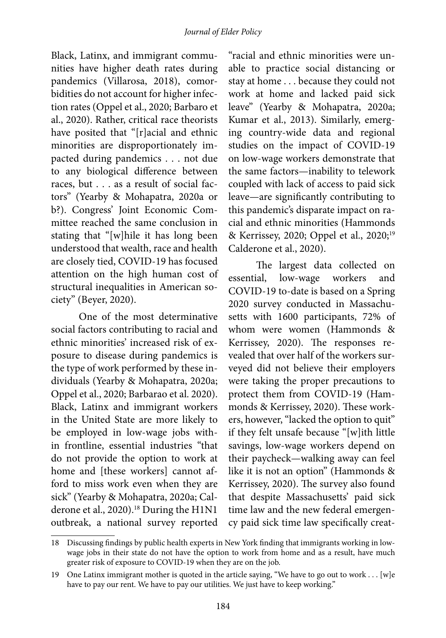Black, Latinx, and immigrant communities have higher death rates during pandemics (Villarosa, 2018), comorbidities do not account for higher infection rates (Oppel et al., 2020; Barbaro et al., 2020). Rather, critical race theorists have posited that "[r]acial and ethnic minorities are disproportionately impacted during pandemics . . . not due to any biological difference between races, but . . . as a result of social factors" (Yearby & Mohapatra, 2020a or b?). Congress' Joint Economic Committee reached the same conclusion in stating that "[w]hile it has long been understood that wealth, race and health are closely tied, COVID-19 has focused attention on the high human cost of structural inequalities in American society" (Beyer, 2020).

One of the most determinative social factors contributing to racial and ethnic minorities' increased risk of exposure to disease during pandemics is the type of work performed by these individuals (Yearby & Mohapatra, 2020a; Oppel et al., 2020; Barbarao et al. 2020). Black, Latinx and immigrant workers in the United State are more likely to be employed in low-wage jobs within frontline, essential industries "that do not provide the option to work at home and [these workers] cannot afford to miss work even when they are sick" (Yearby & Mohapatra, 2020a; Calderone et al., 2020).<sup>18</sup> During the H1N1 outbreak, a national survey reported "racial and ethnic minorities were unable to practice social distancing or stay at home . . . because they could not work at home and lacked paid sick leave" (Yearby & Mohapatra, 2020a; Kumar et al., 2013). Similarly, emerging country-wide data and regional studies on the impact of COVID-19 on low-wage workers demonstrate that the same factors—inability to telework coupled with lack of access to paid sick leave—are significantly contributing to this pandemic's disparate impact on racial and ethnic minorities (Hammonds & Kerrissey, 2020; Oppel et al., 2020;<sup>19</sup> Calderone et al., 2020).

The largest data collected on essential, low-wage workers and COVID-19 to-date is based on a Spring 2020 survey conducted in Massachusetts with 1600 participants, 72% of whom were women (Hammonds & Kerrissey, 2020). The responses revealed that over half of the workers surveyed did not believe their employers were taking the proper precautions to protect them from COVID-19 (Hammonds & Kerrissey, 2020). These workers, however, "lacked the option to quit" if they felt unsafe because "[w]ith little savings, low-wage workers depend on their paycheck—walking away can feel like it is not an option" (Hammonds & Kerrissey, 2020). The survey also found that despite Massachusetts' paid sick time law and the new federal emergency paid sick time law specifically creat-

<sup>18</sup> Discussing findings by public health experts in New York finding that immigrants working in lowwage jobs in their state do not have the option to work from home and as a result, have much greater risk of exposure to COVID-19 when they are on the job.

<sup>19</sup> One Latinx immigrant mother is quoted in the article saying, "We have to go out to work . . . [w]e have to pay our rent. We have to pay our utilities. We just have to keep working."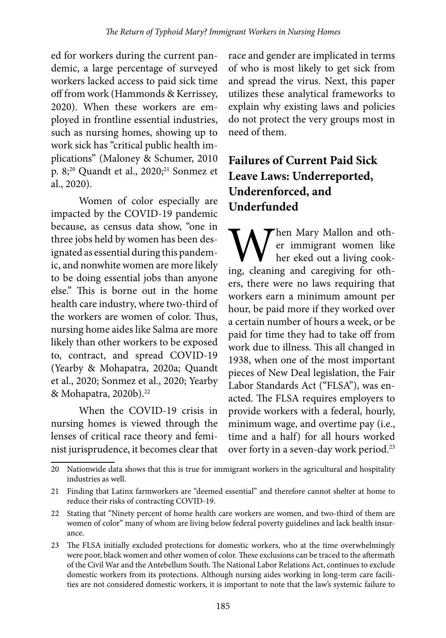ed for workers during the current pandemic, a large percentage of surveyed workers lacked access to paid sick time off from work (Hammonds & Kerrissey, 2020). When these workers are employed in frontline essential industries, such as nursing homes, showing up to work sick has "critical public health implications" (Maloney & Schumer, 2010 p. 8;<sup>20</sup> Quandt et al., 2020;<sup>21</sup> Sonmez et al., 2020).

Women of color especially are impacted by the COVID-19 pandemic because, as census data show, "one in three jobs held by women has been designated as essential during this pandemic, and nonwhite women are more likely to be doing essential jobs than anyone else." This is borne out in the home health care industry, where two-third of the workers are women of color. Thus, nursing home aides like Salma are more likely than other workers to be exposed to, contract, and spread COVID-19 (Yearby & Mohapatra, 2020a; Quandt et al., 2020; Sonmez et al., 2020; Yearby & Mohapatra, 2020b).22

When the COVID-19 crisis in nursing homes is viewed through the lenses of critical race theory and feminist jurisprudence, it becomes clear that

race and gender are implicated in terms of who is most likely to get sick from and spread the virus. Next, this paper utilizes these analytical frameworks to explain why existing laws and policies do not protect the very groups most in need of them.

## **Failures of Current Paid Sick Leave Laws: Underreported, Underenforced, and Underfunded**

**W** hen Mary Mallon and oth-<br>her eked out a living cook-<br>ing, cleaning and caregiving for other immigrant women like her eked out a living cookers, there were no laws requiring that workers earn a minimum amount per hour, be paid more if they worked over a certain number of hours a week, or be paid for time they had to take off from work due to illness. This all changed in 1938, when one of the most important pieces of New Deal legislation, the Fair Labor Standards Act ("FLSA"), was enacted. The FLSA requires employers to provide workers with a federal, hourly, minimum wage, and overtime pay (i.e., time and a half) for all hours worked over forty in a seven-day work period.<sup>23</sup>

<sup>20</sup> Nationwide data shows that this is true for immigrant workers in the agricultural and hospitality industries as well.

<sup>21</sup> Finding that Latinx farmworkers are "deemed essential" and therefore cannot shelter at home to reduce their risks of contracting COVID-19.

<sup>22</sup> Stating that "Ninety percent of home health care workers are women, and two-third of them are women of color" many of whom are living below federal poverty guidelines and lack health insurance.

<sup>23</sup> The FLSA initially excluded protections for domestic workers, who at the time overwhelmingly were poor, black women and other women of color. These exclusions can be traced to the aftermath of the Civil War and the Antebellum South. The National Labor Relations Act, continues to exclude domestic workers from its protections. Although nursing aides working in long-term care facilities are not considered domestic workers, it is important to note that the law's systemic failure to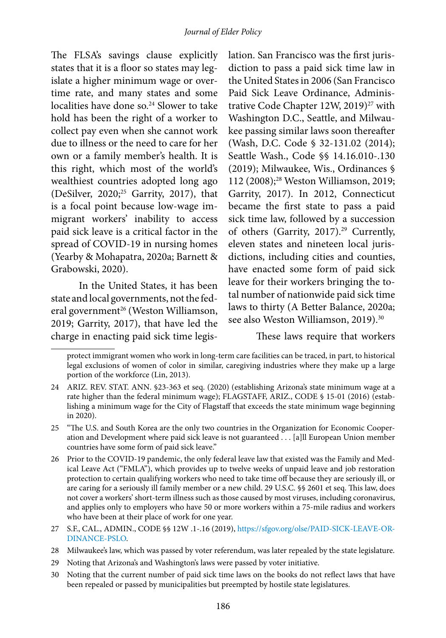The FLSA's savings clause explicitly states that it is a floor so states may legislate a higher minimum wage or overtime rate, and many states and some localities have done so.<sup>24</sup> Slower to take hold has been the right of a worker to collect pay even when she cannot work due to illness or the need to care for her own or a family member's health. It is this right, which most of the world's wealthiest countries adopted long ago (DeSilver, 2020;25 Garrity, 2017), that is a focal point because low-wage immigrant workers' inability to access paid sick leave is a critical factor in the spread of COVID-19 in nursing homes (Yearby & Mohapatra, 2020a; Barnett & Grabowski, 2020).

In the United States, it has been state and local governments, not the federal government<sup>26</sup> (Weston Williamson, 2019; Garrity, 2017), that have led the charge in enacting paid sick time legislation. San Francisco was the first jurisdiction to pass a paid sick time law in the United States in 2006 (San Francisco Paid Sick Leave Ordinance, Administrative Code Chapter 12W, 2019)<sup>27</sup> with Washington D.C., Seattle, and Milwaukee passing similar laws soon thereafter (Wash, D.C. Code § 32-131.02 (2014); Seattle Wash., Code §§ 14.16.010-.130 (2019); Milwaukee, Wis., Ordinances § 112 (2008);28 Weston Williamson, 2019; Garrity, 2017). In 2012, Connecticut became the first state to pass a paid sick time law, followed by a succession of others (Garrity, 2017).<sup>29</sup> Currently, eleven states and nineteen local jurisdictions, including cities and counties, have enacted some form of paid sick leave for their workers bringing the total number of nationwide paid sick time laws to thirty (A Better Balance, 2020a; see also Weston Williamson, 2019).<sup>30</sup>

#### These laws require that workers

protect immigrant women who work in long-term care facilities can be traced, in part, to historical legal exclusions of women of color in similar, caregiving industries where they make up a large portion of the workforce (Lin, 2013).

<sup>24</sup> ARIZ. REV. STAT. ANN. §23-363 et seq. (2020) (establishing Arizona's state minimum wage at a rate higher than the federal minimum wage); FLAGSTAFF, ARIZ., CODE § 15-01 (2016) (establishing a minimum wage for the City of Flagstaff that exceeds the state minimum wage beginning in 2020).

<sup>25</sup> "The U.S. and South Korea are the only two countries in the Organization for Economic Cooperation and Development where paid sick leave is not guaranteed . . . [a]ll European Union member countries have some form of paid sick leave."

<sup>26</sup> Prior to the COVID-19 pandemic, the only federal leave law that existed was the Family and Medical Leave Act ("FMLA"), which provides up to twelve weeks of unpaid leave and job restoration protection to certain qualifying workers who need to take time off because they are seriously ill, or are caring for a seriously ill family member or a new child. 29 U.S.C. §§ 2601 et seq. This law, does not cover a workers' short-term illness such as those caused by most viruses, including coronavirus, and applies only to employers who have 50 or more workers within a 75-mile radius and workers who have been at their place of work for one year.

<sup>27</sup> S.F., CAL., ADMIN., CODE §§ 12W .1-.16 (2019), [https://sfgov.org/olse/PAID-SICK-LEAVE-OR-](https://sfgov.org/olse/PAID-SICK-LEAVE-ORDINANCE-PSLO)[DINANCE-PSLO.](https://sfgov.org/olse/PAID-SICK-LEAVE-ORDINANCE-PSLO)

<sup>28</sup> Milwaukee's law, which was passed by voter referendum, was later repealed by the state legislature.

<sup>29</sup> Noting that Arizona's and Washington's laws were passed by voter initiative.

<sup>30</sup> Noting that the current number of paid sick time laws on the books do not reflect laws that have been repealed or passed by municipalities but preempted by hostile state legislatures.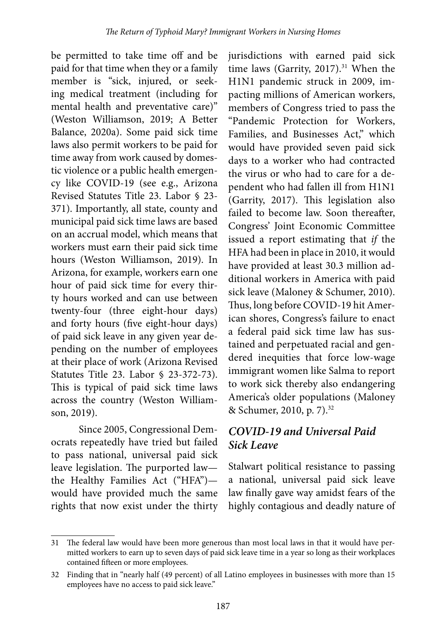be permitted to take time off and be paid for that time when they or a family member is "sick, injured, or seeking medical treatment (including for mental health and preventative care)" (Weston Williamson, 2019; A Better Balance, 2020a). Some paid sick time laws also permit workers to be paid for time away from work caused by domestic violence or a public health emergency like COVID-19 (see e.g., Arizona Revised Statutes Title 23. Labor § 23- 371). Importantly, all state, county and municipal paid sick time laws are based on an accrual model, which means that workers must earn their paid sick time hours (Weston Williamson, 2019). In Arizona, for example, workers earn one hour of paid sick time for every thirty hours worked and can use between twenty-four (three eight-hour days) and forty hours (five eight-hour days) of paid sick leave in any given year depending on the number of employees at their place of work (Arizona Revised Statutes Title 23. Labor § 23-372-73). This is typical of paid sick time laws across the country (Weston Williamson, 2019).

Since 2005, Congressional Democrats repeatedly have tried but failed to pass national, universal paid sick leave legislation. The purported law the Healthy Families Act ("HFA") would have provided much the same rights that now exist under the thirty

jurisdictions with earned paid sick time laws (Garrity, 2017). $31$  When the H1N1 pandemic struck in 2009, impacting millions of American workers, members of Congress tried to pass the "Pandemic Protection for Workers, Families, and Businesses Act," which would have provided seven paid sick days to a worker who had contracted the virus or who had to care for a dependent who had fallen ill from H1N1 (Garrity, 2017). This legislation also failed to become law. Soon thereafter, Congress' Joint Economic Committee issued a report estimating that *if* the HFA had been in place in 2010, it would have provided at least 30.3 million additional workers in America with paid sick leave (Maloney & Schumer, 2010). Thus, long before COVID-19 hit American shores, Congress's failure to enact a federal paid sick time law has sustained and perpetuated racial and gendered inequities that force low-wage immigrant women like Salma to report to work sick thereby also endangering America's older populations (Maloney & Schumer, 2010, p. 7).32

### *COVID-19 and Universal Paid Sick Leave*

Stalwart political resistance to passing a national, universal paid sick leave law finally gave way amidst fears of the highly contagious and deadly nature of

<sup>31</sup> The federal law would have been more generous than most local laws in that it would have permitted workers to earn up to seven days of paid sick leave time in a year so long as their workplaces contained fifteen or more employees.

<sup>32</sup> Finding that in "nearly half (49 percent) of all Latino employees in businesses with more than 15 employees have no access to paid sick leave."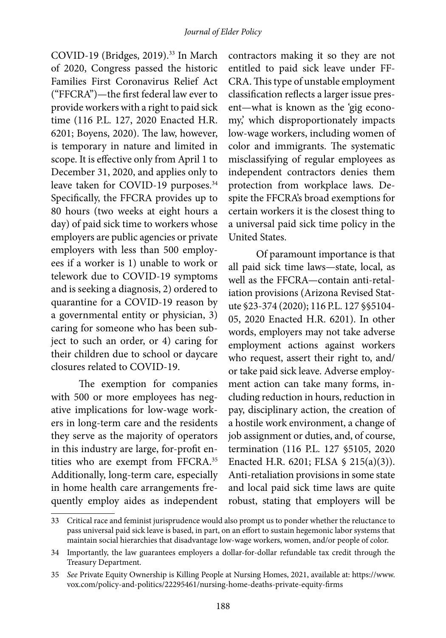COVID-19 (Bridges, 2019).<sup>33</sup> In March of 2020, Congress passed the historic Families First Coronavirus Relief Act ("FFCRA")—the first federal law ever to provide workers with a right to paid sick time (116 P.L. 127, 2020 Enacted H.R. 6201; Boyens, 2020). The law, however, is temporary in nature and limited in scope. It is effective only from April 1 to December 31, 2020, and applies only to leave taken for COVID-19 purposes.<sup>34</sup> Specifically, the FFCRA provides up to 80 hours (two weeks at eight hours a day) of paid sick time to workers whose employers are public agencies or private employers with less than 500 employees if a worker is 1) unable to work or telework due to COVID-19 symptoms and is seeking a diagnosis, 2) ordered to quarantine for a COVID-19 reason by a governmental entity or physician, 3) caring for someone who has been subject to such an order, or 4) caring for their children due to school or daycare closures related to COVID-19.

The exemption for companies with 500 or more employees has negative implications for low-wage workers in long-term care and the residents they serve as the majority of operators in this industry are large, for-profit entities who are exempt from FFCRA.<sup>35</sup> Additionally, long-term care, especially in home health care arrangements frequently employ aides as independent contractors making it so they are not entitled to paid sick leave under FF-CRA. This type of unstable employment classification reflects a larger issue present—what is known as the 'gig economy,' which disproportionately impacts low-wage workers, including women of color and immigrants. The systematic misclassifying of regular employees as independent contractors denies them protection from workplace laws. Despite the FFCRA's broad exemptions for certain workers it is the closest thing to a universal paid sick time policy in the United States.

Of paramount importance is that all paid sick time laws—state, local, as well as the FFCRA—contain anti-retaliation provisions (Arizona Revised Statute §23-374 (2020); 116 P.L. 127 §§5104- 05, 2020 Enacted H.R. 6201). In other words, employers may not take adverse employment actions against workers who request, assert their right to, and/ or take paid sick leave. Adverse employment action can take many forms, including reduction in hours, reduction in pay, disciplinary action, the creation of a hostile work environment, a change of job assignment or duties, and, of course, termination (116 P.L. 127 §5105, 2020 Enacted H.R. 6201; FLSA § 215(a)(3)). Anti-retaliation provisions in some state and local paid sick time laws are quite robust, stating that employers will be

<sup>33</sup> Critical race and feminist jurisprudence would also prompt us to ponder whether the reluctance to pass universal paid sick leave is based, in part, on an effort to sustain hegemonic labor systems that maintain social hierarchies that disadvantage low-wage workers, women, and/or people of color.

<sup>34</sup> Importantly, the law guarantees employers a dollar-for-dollar refundable tax credit through the Treasury Department.

<sup>35</sup> *See* Private Equity Ownership is Killing People at Nursing Homes, 2021, available at: https://www. vox.com/policy-and-politics/22295461/nursing-home-deaths-private-equity-firms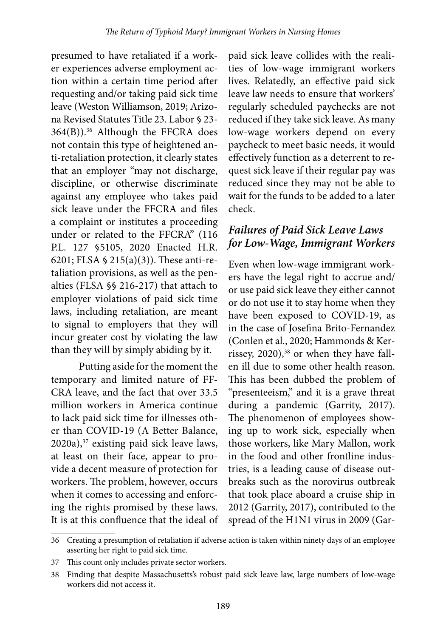presumed to have retaliated if a worker experiences adverse employment action within a certain time period after requesting and/or taking paid sick time leave (Weston Williamson, 2019; Arizona Revised Statutes Title 23. Labor § 23-  $364(B)$ .<sup>36</sup> Although the FFCRA does not contain this type of heightened anti-retaliation protection, it clearly states that an employer "may not discharge, discipline, or otherwise discriminate against any employee who takes paid sick leave under the FFCRA and files a complaint or institutes a proceeding under or related to the FFCRA" (116 P.L. 127 §5105, 2020 Enacted H.R. 6201; FLSA § 215(a)(3)). These anti-retaliation provisions, as well as the penalties (FLSA §§ 216-217) that attach to employer violations of paid sick time laws, including retaliation, are meant to signal to employers that they will incur greater cost by violating the law than they will by simply abiding by it.

Putting aside for the moment the temporary and limited nature of FF-CRA leave, and the fact that over 33.5 million workers in America continue to lack paid sick time for illnesses other than COVID-19 (A Better Balance, 2020a),<sup>37</sup> existing paid sick leave laws, at least on their face, appear to provide a decent measure of protection for workers. The problem, however, occurs when it comes to accessing and enforcing the rights promised by these laws. It is at this confluence that the ideal of

paid sick leave collides with the realities of low-wage immigrant workers lives. Relatedly, an effective paid sick leave law needs to ensure that workers' regularly scheduled paychecks are not reduced if they take sick leave. As many low-wage workers depend on every paycheck to meet basic needs, it would effectively function as a deterrent to request sick leave if their regular pay was reduced since they may not be able to wait for the funds to be added to a later check.

### *Failures of Paid Sick Leave Laws for Low-Wage, Immigrant Workers*

Even when low-wage immigrant workers have the legal right to accrue and/ or use paid sick leave they either cannot or do not use it to stay home when they have been exposed to COVID-19, as in the case of Josefina Brito-Fernandez (Conlen et al., 2020; Hammonds & Kerrissey, 2020),<sup>38</sup> or when they have fallen ill due to some other health reason. This has been dubbed the problem of "presenteeism," and it is a grave threat during a pandemic (Garrity, 2017). The phenomenon of employees showing up to work sick, especially when those workers, like Mary Mallon, work in the food and other frontline industries, is a leading cause of disease outbreaks such as the norovirus outbreak that took place aboard a cruise ship in 2012 (Garrity, 2017), contributed to the spread of the H1N1 virus in 2009 (Gar-

<sup>36</sup> Creating a presumption of retaliation if adverse action is taken within ninety days of an employee asserting her right to paid sick time.

<sup>37</sup> This count only includes private sector workers.

<sup>38</sup> Finding that despite Massachusetts's robust paid sick leave law, large numbers of low-wage workers did not access it.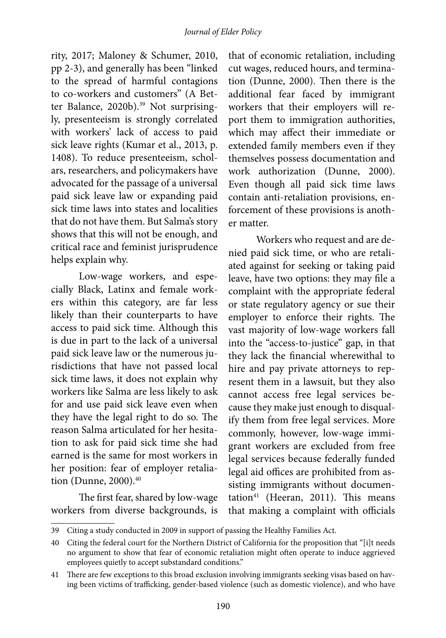rity, 2017; Maloney & Schumer, 2010, pp 2-3), and generally has been "linked to the spread of harmful contagions to co-workers and customers" (A Better Balance, 2020b).<sup>39</sup> Not surprisingly, presenteeism is strongly correlated with workers' lack of access to paid sick leave rights (Kumar et al., 2013, p. 1408). To reduce presenteeism, scholars, researchers, and policymakers have advocated for the passage of a universal paid sick leave law or expanding paid sick time laws into states and localities that do not have them. But Salma's story shows that this will not be enough, and critical race and feminist jurisprudence helps explain why.

Low-wage workers, and especially Black, Latinx and female workers within this category, are far less likely than their counterparts to have access to paid sick time. Although this is due in part to the lack of a universal paid sick leave law or the numerous jurisdictions that have not passed local sick time laws, it does not explain why workers like Salma are less likely to ask for and use paid sick leave even when they have the legal right to do so. The reason Salma articulated for her hesitation to ask for paid sick time she had earned is the same for most workers in her position: fear of employer retaliation (Dunne, 2000).<sup>40</sup>

The first fear, shared by low-wage workers from diverse backgrounds, is that of economic retaliation, including cut wages, reduced hours, and termination (Dunne, 2000). Then there is the additional fear faced by immigrant workers that their employers will report them to immigration authorities, which may affect their immediate or extended family members even if they themselves possess documentation and work authorization (Dunne, 2000). Even though all paid sick time laws contain anti-retaliation provisions, enforcement of these provisions is another matter.

Workers who request and are denied paid sick time, or who are retaliated against for seeking or taking paid leave, have two options: they may file a complaint with the appropriate federal or state regulatory agency or sue their employer to enforce their rights. The vast majority of low-wage workers fall into the "access-to-justice" gap, in that they lack the financial wherewithal to hire and pay private attorneys to represent them in a lawsuit, but they also cannot access free legal services because they make just enough to disqualify them from free legal services. More commonly, however, low-wage immigrant workers are excluded from free legal services because federally funded legal aid offices are prohibited from assisting immigrants without documentation $41$  (Heeran, 2011). This means that making a complaint with officials

<sup>39</sup> Citing a study conducted in 2009 in support of passing the Healthy Families Act.

<sup>40</sup> Citing the federal court for the Northern District of California for the proposition that "[i]t needs no argument to show that fear of economic retaliation might often operate to induce aggrieved employees quietly to accept substandard conditions."

<sup>41</sup> There are few exceptions to this broad exclusion involving immigrants seeking visas based on having been victims of trafficking, gender-based violence (such as domestic violence), and who have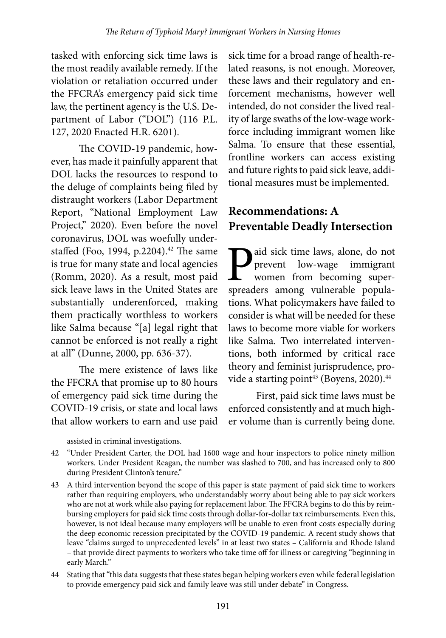tasked with enforcing sick time laws is the most readily available remedy. If the violation or retaliation occurred under the FFCRA's emergency paid sick time law, the pertinent agency is the U.S. Department of Labor ("DOL") (116 P.L. 127, 2020 Enacted H.R. 6201).

The COVID-19 pandemic, however, has made it painfully apparent that DOL lacks the resources to respond to the deluge of complaints being filed by distraught workers (Labor Department Report, "National Employment Law Project," 2020). Even before the novel coronavirus, DOL was woefully understaffed (Foo, 1994, p.2204).<sup>42</sup> The same is true for many state and local agencies (Romm, 2020). As a result, most paid sick leave laws in the United States are substantially underenforced, making them practically worthless to workers like Salma because "[a] legal right that cannot be enforced is not really a right at all" (Dunne, 2000, pp. 636-37).

The mere existence of laws like the FFCRA that promise up to 80 hours of emergency paid sick time during the COVID-19 crisis, or state and local laws that allow workers to earn and use paid

sick time for a broad range of health-related reasons, is not enough. Moreover, these laws and their regulatory and enforcement mechanisms, however well intended, do not consider the lived reality of large swaths of the low-wage workforce including immigrant women like Salma. To ensure that these essential, frontline workers can access existing and future rights to paid sick leave, additional measures must be implemented.

## **Recommendations: A Preventable Deadly Intersection**

**P**aid sick time laws, alone, do not prevent low-wage immigrant women from becoming superspreaders among vulnerable populaprevent low-wage immigrant women from becoming superspreaders among vulnerable populations. What policymakers have failed to consider is what will be needed for these laws to become more viable for workers like Salma. Two interrelated interventions, both informed by critical race theory and feminist jurisprudence, provide a starting point<sup>43</sup> (Boyens, 2020).<sup>44</sup>

First, paid sick time laws must be enforced consistently and at much higher volume than is currently being done.

assisted in criminal investigations.

<sup>42</sup> "Under President Carter, the DOL had 1600 wage and hour inspectors to police ninety million workers. Under President Reagan, the number was slashed to 700, and has increased only to 800 during President Clinton's tenure."

<sup>43</sup> A third intervention beyond the scope of this paper is state payment of paid sick time to workers rather than requiring employers, who understandably worry about being able to pay sick workers who are not at work while also paying for replacement labor. The FFCRA begins to do this by reimbursing employers for paid sick time costs through dollar-for-dollar tax reimbursements. Even this, however, is not ideal because many employers will be unable to even front costs especially during the deep economic recession precipitated by the COVID-19 pandemic. A recent study shows that leave "claims surged to unprecedented levels" in at least two states – California and Rhode Island – that provide direct payments to workers who take time off for illness or caregiving "beginning in early March."

<sup>44</sup> Stating that "this data suggests that these states began helping workers even while federal legislation to provide emergency paid sick and family leave was still under debate" in Congress.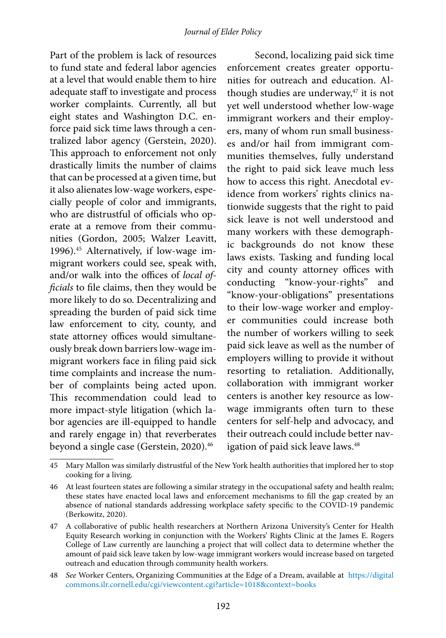Part of the problem is lack of resources to fund state and federal labor agencies at a level that would enable them to hire adequate staff to investigate and process worker complaints. Currently, all but eight states and Washington D.C. enforce paid sick time laws through a centralized labor agency (Gerstein, 2020). This approach to enforcement not only drastically limits the number of claims that can be processed at a given time, but it also alienates low-wage workers, especially people of color and immigrants, who are distrustful of officials who operate at a remove from their communities (Gordon, 2005; Walzer Leavitt, 1996).45 Alternatively, if low-wage immigrant workers could see, speak with, and/or walk into the offices of *local officials* to file claims, then they would be more likely to do so. Decentralizing and spreading the burden of paid sick time law enforcement to city, county, and state attorney offices would simultaneously break down barriers low-wage immigrant workers face in filing paid sick time complaints and increase the number of complaints being acted upon. This recommendation could lead to more impact-style litigation (which labor agencies are ill-equipped to handle and rarely engage in) that reverberates beyond a single case (Gerstein, 2020).<sup>46</sup>

Second, localizing paid sick time enforcement creates greater opportunities for outreach and education. Although studies are underway, $47$  it is not yet well understood whether low-wage immigrant workers and their employers, many of whom run small businesses and/or hail from immigrant communities themselves, fully understand the right to paid sick leave much less how to access this right. Anecdotal evidence from workers' rights clinics nationwide suggests that the right to paid sick leave is not well understood and many workers with these demographic backgrounds do not know these laws exists. Tasking and funding local city and county attorney offices with conducting "know-your-rights" and "know-your-obligations" presentations to their low-wage worker and employer communities could increase both the number of workers willing to seek paid sick leave as well as the number of employers willing to provide it without resorting to retaliation. Additionally, collaboration with immigrant worker centers is another key resource as lowwage immigrants often turn to these centers for self-help and advocacy, and their outreach could include better navigation of paid sick leave laws.<sup>48</sup>

48 *See* Worker Centers, Organizing Communities at the Edge of a Dream, available at [https://digital](https://digitalcommons.ilr.cornell.edu/cgi/viewcontent.cgi?article=1018&context=books) [commons.ilr.cornell.edu/cgi/viewcontent.cgi?article=1018&context=books](https://digitalcommons.ilr.cornell.edu/cgi/viewcontent.cgi?article=1018&context=books)

<sup>45</sup> Mary Mallon was similarly distrustful of the New York health authorities that implored her to stop cooking for a living.

<sup>46</sup> At least fourteen states are following a similar strategy in the occupational safety and health realm; these states have enacted local laws and enforcement mechanisms to fill the gap created by an absence of national standards addressing workplace safety specific to the COVID-19 pandemic (Berkowitz, 2020).

<sup>47</sup> A collaborative of public health researchers at Northern Arizona University's Center for Health Equity Research working in conjunction with the Workers' Rights Clinic at the James E. Rogers College of Law currently are launching a project that will collect data to determine whether the amount of paid sick leave taken by low-wage immigrant workers would increase based on targeted outreach and education through community health workers.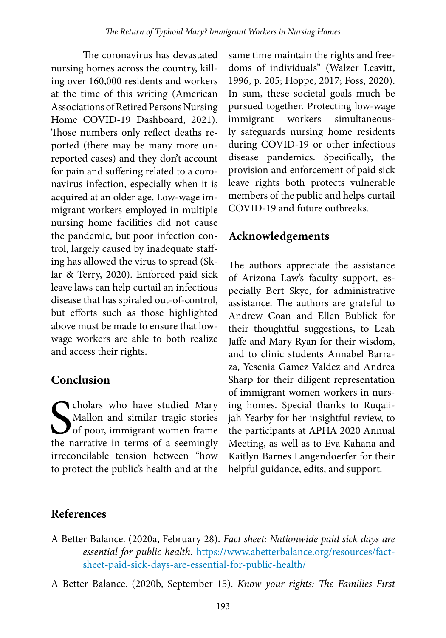The coronavirus has devastated nursing homes across the country, killing over 160,000 residents and workers at the time of this writing (American Associations of Retired Persons Nursing Home COVID-19 Dashboard, 2021). Those numbers only reflect deaths reported (there may be many more unreported cases) and they don't account for pain and suffering related to a coronavirus infection, especially when it is acquired at an older age. Low-wage immigrant workers employed in multiple nursing home facilities did not cause the pandemic, but poor infection control, largely caused by inadequate staffing has allowed the virus to spread (Sklar & Terry, 2020). Enforced paid sick leave laws can help curtail an infectious disease that has spiraled out-of-control, but efforts such as those highlighted above must be made to ensure that lowwage workers are able to both realize and access their rights.

#### **Conclusion**

S<sub>the r</sub> cholars who have studied Mary Mallon and similar tragic stories of poor, immigrant women frame the narrative in terms of a seemingly irreconcilable tension between "how to protect the public's health and at the

same time maintain the rights and freedoms of individuals" (Walzer Leavitt, 1996, p. 205; Hoppe, 2017; Foss, 2020). In sum, these societal goals much be pursued together. Protecting low-wage immigrant workers simultaneously safeguards nursing home residents during COVID-19 or other infectious disease pandemics. Specifically, the provision and enforcement of paid sick leave rights both protects vulnerable members of the public and helps curtail COVID-19 and future outbreaks.

### **Acknowledgements**

The authors appreciate the assistance of Arizona Law's faculty support, especially Bert Skye, for administrative assistance. The authors are grateful to Andrew Coan and Ellen Bublick for their thoughtful suggestions, to Leah Jaffe and Mary Ryan for their wisdom, and to clinic students Annabel Barraza, Yesenia Gamez Valdez and Andrea Sharp for their diligent representation of immigrant women workers in nursing homes. Special thanks to Ruqaiijah Yearby for her insightful review, to the participants at APHA 2020 Annual Meeting, as well as to Eva Kahana and Kaitlyn Barnes Langendoerfer for their helpful guidance, edits, and support.

#### **References**

A Better Balance. (2020a, February 28). *Fact sheet: Nationwide paid sick days are essential for public health*. [https://www.abetterbalance.org/resources/fact](https://www.abetterbalance.org/resources/fact-sheet-paid-sick-days-are-essential-for-public-health/)[sheet-paid-sick-days-are-essential-for-public-health/](https://www.abetterbalance.org/resources/fact-sheet-paid-sick-days-are-essential-for-public-health/)

A Better Balance. (2020b, September 15). *Know your rights: The Families First*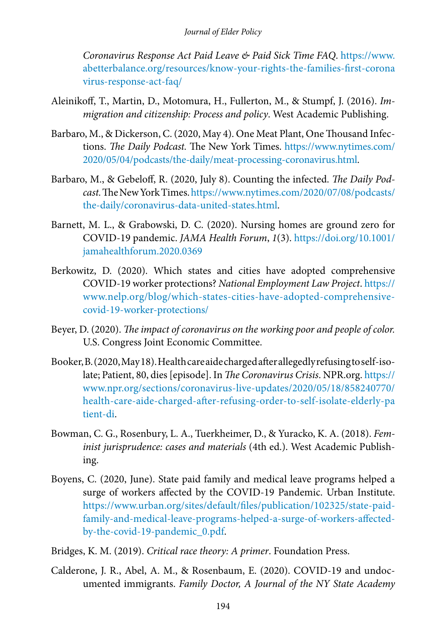*Coronavirus Response Act Paid Leave & Paid Sick Time FAQ*. [https://www.](https://www.abetterbalance.org/resources/know-your-rights-the-families-first-%20%20%20%20%20%20%20%20%20%20%20%20coronavirus-response-act-faq/) [abetterbalance.org/resources/know-your-rights-the-families-first-corona](https://www.abetterbalance.org/resources/know-your-rights-the-families-first-%20%20%20%20%20%20%20%20%20%20%20%20coronavirus-response-act-faq/) [virus-response-act-faq/](https://www.abetterbalance.org/resources/know-your-rights-the-families-first-%20%20%20%20%20%20%20%20%20%20%20%20coronavirus-response-act-faq/)

- Aleinikoff, T., Martin, D., Motomura, H., Fullerton, M., & Stumpf, J. (2016). *Immigration and citizenship: Process and policy*. West Academic Publishing.
- Barbaro, M., & Dickerson, C. (2020, May 4). One Meat Plant, One Thousand Infections. *The Daily Podcast.* The New York Times. [https://www.nytimes.com/](https://www.nytimes.com/2020/05/04/podcasts/the-daily/meat-processing-coronavirus.html) [2020/05/04/podcasts/the-daily/meat-processing-coronavirus.html.](https://www.nytimes.com/2020/05/04/podcasts/the-daily/meat-processing-coronavirus.html)
- Barbaro, M., & Gebeloff, R. (2020, July 8). Counting the infected. *The Daily Podcast.* The New York Times. [https://www.nytimes.com/2020/07/08/podcasts/](https://www.nytimes.com/2020/07/08/podcasts/the-daily/coronavirus-data-united-states.html) [the-daily/coronavirus-data-united-states.html](https://www.nytimes.com/2020/07/08/podcasts/the-daily/coronavirus-data-united-states.html).
- Barnett, M. L., & Grabowski, D. C. (2020). Nursing homes are ground zero for COVID-19 pandemic. *JAMA Health Forum*, *1*(3). [https://doi.org/10.1001/](https://doi.org/10.1001/jamahealthforum.2020.0369) [jamahealthforum.2020.0369](https://doi.org/10.1001/jamahealthforum.2020.0369)
- Berkowitz, D. (2020). Which states and cities have adopted comprehensive COVID-19 worker protections? *National Employment Law Project*. [https://](https://www.nelp.org/blog/which-states-cities-have-adopted-comprehensive-covid-19-worker-protections/) [www.nelp.org/blog/which-states-cities-have-adopted-comprehensive](https://www.nelp.org/blog/which-states-cities-have-adopted-comprehensive-covid-19-worker-protections/)[covid-19-worker-protections/](https://www.nelp.org/blog/which-states-cities-have-adopted-comprehensive-covid-19-worker-protections/)
- Beyer, D. (2020). *The impact of coronavirus on the working poor and people of color.* U.S. Congress Joint Economic Committee.
- Booker, B. (2020, May 18). Health care aide charged after allegedly refusing to self-isolate; Patient, 80, dies [episode]. In *The Coronavirus Crisis*. NPR.org. [https://](https://www.npr.org/sections/coronavirus-live-updates/2020/05/18/858240770/health-care-aide-charged-after-refusing-order-to-self-isolate-elderly-patient-di) [www.npr.org/sections/coronavirus-live-updates/2020/05/18/858240770/](https://www.npr.org/sections/coronavirus-live-updates/2020/05/18/858240770/health-care-aide-charged-after-refusing-order-to-self-isolate-elderly-patient-di) [health-care-aide-charged-after-refusing-order-to-self-isolate-elderly-pa](https://www.npr.org/sections/coronavirus-live-updates/2020/05/18/858240770/health-care-aide-charged-after-refusing-order-to-self-isolate-elderly-patient-di) [tient-di](https://www.npr.org/sections/coronavirus-live-updates/2020/05/18/858240770/health-care-aide-charged-after-refusing-order-to-self-isolate-elderly-patient-di).
- Bowman, C. G., Rosenbury, L. A., Tuerkheimer, D., & Yuracko, K. A. (2018). *Feminist jurisprudence: cases and materials* (4th ed.). West Academic Publishing.
- Boyens, C. (2020, June). State paid family and medical leave programs helped a surge of workers affected by the COVID-19 Pandemic. Urban Institute. [https://www.urban.org/sites/default/files/publication/102325/state-paid](https://www.urban.org/sites/default/files/publication/102325/state-paid-family-and-medical-leave-programs-helped-a-surge-of-workers-affected-by-the-covid-19-pandemic_0.pdf)[family-and-medical-leave-programs-helped-a-surge-of-workers-affected](https://www.urban.org/sites/default/files/publication/102325/state-paid-family-and-medical-leave-programs-helped-a-surge-of-workers-affected-by-the-covid-19-pandemic_0.pdf)[by-the-covid-19-pandemic\\_0.pdf](https://www.urban.org/sites/default/files/publication/102325/state-paid-family-and-medical-leave-programs-helped-a-surge-of-workers-affected-by-the-covid-19-pandemic_0.pdf).
- Bridges, K. M. (2019). *Critical race theory: A primer*. Foundation Press.
- Calderone, J. R., Abel, A. M., & Rosenbaum, E. (2020). COVID-19 and undocumented immigrants. *Family Doctor, A Journal of the NY State Academy*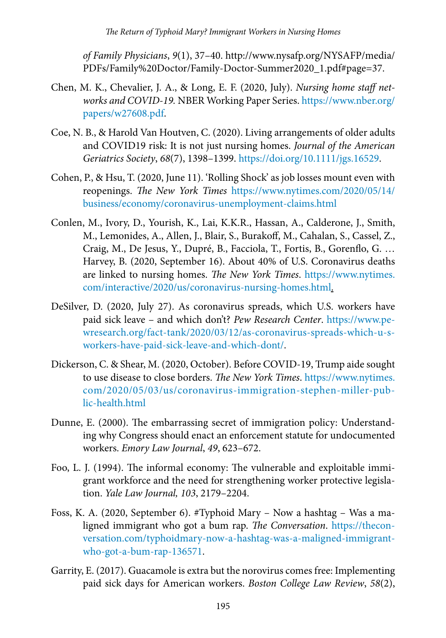*of Family Physicians*, *9*(1), 37–40. http://www.nysafp.org/NYSAFP/media/ PDFs/Family%20Doctor/Family-Doctor-Summer2020\_1.pdf#page=37.

- Chen, M. K., Chevalier, J. A., & Long, E. F. (2020, July). *Nursing home staff networks and COVID-19.* NBER Working Paper Series. [https://www.nber.org/](https://www.nber.org/papers/w27608.pdf) [papers/w27608.pdf](https://www.nber.org/papers/w27608.pdf).
- Coe, N. B., & Harold Van Houtven, C. (2020). Living arrangements of older adults and COVID19 risk: It is not just nursing homes. *Journal of the American Geriatrics Society*, *68*(7), 1398–1399. <https://doi.org/10.1111/jgs.16529>.
- Cohen, P., & Hsu, T. (2020, June 11). 'Rolling Shock' as job losses mount even with reopenings. *The New York Times* [https://www.nytimes.com/2020/05/14/](https://www.nytimes.com/2020/05/14/business/economy/coronavirus-unemployment-claims.html) [business/economy/coronavirus-unemployment-claims.html](https://www.nytimes.com/2020/05/14/business/economy/coronavirus-unemployment-claims.html)
- Conlen, M., Ivory, D., Yourish, K., Lai, K.K.R., Hassan, A., Calderone, J., Smith, M., Lemonides, A., Allen, J., Blair, S., Burakoff, M., Cahalan, S., Cassel, Z., Craig, M., De Jesus, Y., Dupré, B., Facciola, T., Fortis, B., Gorenflo, G. … Harvey, B. (2020, September 16). About 40% of U.S. Coronavirus deaths are linked to nursing homes. *The New York Times*. [https://www.nytimes.](https://www.nytimes.com/interactive/2020/us/coronavirus-nursing-homes.html) [com/interactive/2020/us/coronavirus-nursing-homes.html](https://www.nytimes.com/interactive/2020/us/coronavirus-nursing-homes.html).
- DeSilver, D. (2020, July 27). As coronavirus spreads, which U.S. workers have paid sick leave – and which don't? *Pew Research Center*. [https://www.pe](https://www.pewresearch.org/fact-tank/2020/03/12/as-coronavirus-spreads-which-u-s-workers-have-paid-sick-leave-and-which-dont/)[wresearch.org/fact-tank/2020/03/12/as-coronavirus-spreads-which-u-s](https://www.pewresearch.org/fact-tank/2020/03/12/as-coronavirus-spreads-which-u-s-workers-have-paid-sick-leave-and-which-dont/)[workers-have-paid-sick-leave-and-which-dont/.](https://www.pewresearch.org/fact-tank/2020/03/12/as-coronavirus-spreads-which-u-s-workers-have-paid-sick-leave-and-which-dont/)
- Dickerson, C. & Shear, M. (2020, October). Before COVID-19, Trump aide sought to use disease to close borders. *The New York Times*. [https://www.nytimes.](https://www.nytimes.com/2020/05/03/us/coronavirus-immigration-stephen-miller-public-health.html) [com/2020/05/03/us/coronavirus-immigration-stephen-miller-pub](https://www.nytimes.com/2020/05/03/us/coronavirus-immigration-stephen-miller-public-health.html)[lic-health.html](https://www.nytimes.com/2020/05/03/us/coronavirus-immigration-stephen-miller-public-health.html)
- Dunne, E. (2000). The embarrassing secret of immigration policy: Understanding why Congress should enact an enforcement statute for undocumented workers. *Emory Law Journal*, *49*, 623–672.
- Foo, L. J. (1994). The informal economy: The vulnerable and exploitable immigrant workforce and the need for strengthening worker protective legislation. *Yale Law Journal, 103*, 2179–2204.
- Foss, K. A. (2020, September 6). #Typhoid Mary Now a hashtag Was a maligned immigrant who got a bum rap. *The Conversation*. [https://thecon](https://theconversation.com/typhoidmary-now-a-hashtag-was-a-maligned-immigrant-who-got-a-bum-rap-136571)[versation.com/typhoidmary-now-a-hashtag-was-a-maligned-immigrant](https://theconversation.com/typhoidmary-now-a-hashtag-was-a-maligned-immigrant-who-got-a-bum-rap-136571)[who-got-a-bum-rap-136571.](https://theconversation.com/typhoidmary-now-a-hashtag-was-a-maligned-immigrant-who-got-a-bum-rap-136571)
- Garrity, E. (2017). Guacamole is extra but the norovirus comes free: Implementing paid sick days for American workers. *Boston College Law Review*, *58*(2),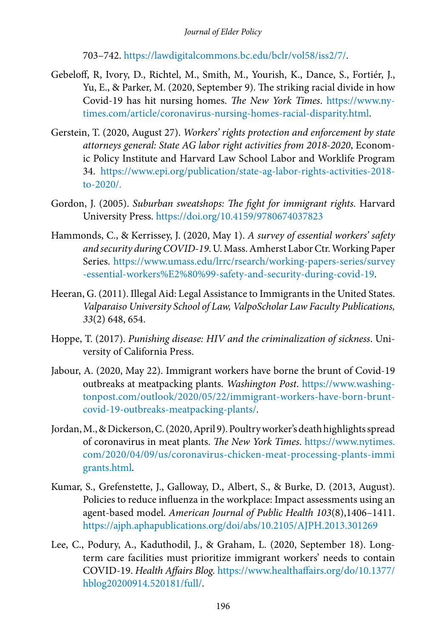703–742. <https://lawdigitalcommons.bc.edu/bclr/vol58/iss2/7/>.

- Gebeloff, R, Ivory, D., Richtel, M., Smith, M., Yourish, K., Dance, S., Fortiér, J., Yu, E., & Parker, M. (2020, September 9). The striking racial divide in how Covid-19 has hit nursing homes. *The New York Times*. [https://www.ny](https://www.nytimes.com/article/coronavirus-nursing-homes-racial-disparity.html)[times.com/article/coronavirus-nursing-homes-racial-disparity.html.](https://www.nytimes.com/article/coronavirus-nursing-homes-racial-disparity.html)
- Gerstein, T. (2020, August 27). *Workers' rights protection and enforcement by state attorneys general: State AG labor right activities from 2018-2020*, Economic Policy Institute and Harvard Law School Labor and Worklife Program 34. [https://www.epi.org/publication/state-ag-labor-rights-activities-2018](https://www.epi.org/publication/state-ag-labor-rights-activities-2018-to-2020/) [to-2020/.](https://www.epi.org/publication/state-ag-labor-rights-activities-2018-to-2020/)
- Gordon, J. (2005). *Suburban sweatshops: The fight for immigrant rights.* Harvard University Press.<https://doi.org/10.4159/9780674037823>
- Hammonds, C., & Kerrissey, J. (2020, May 1). *A survey of essential workers' safety and security during COVID-19*. U. Mass. Amherst Labor Ctr. Working Paper Series. [https://www.umass.edu/lrrc/rsearch/working-papers-series/survey](https://www.umass.edu/lrrc/research/working-papers-series/survey-essential-workers%E2%80%99-safety-and-security-during-covid-19) [-essential-workers%E2%80%99-safety-and-security-during-covid-19.](https://www.umass.edu/lrrc/research/working-papers-series/survey-essential-workers%E2%80%99-safety-and-security-during-covid-19)
- Heeran, G. (2011). Illegal Aid: Legal Assistance to Immigrants in the United States. *Valparaiso University School of Law, ValpoScholar Law Faculty Publications, 33*(2) 648, 654.
- Hoppe, T. (2017). *Punishing disease: HIV and the criminalization of sickness*. University of California Press.
- Jabour, A. (2020, May 22). Immigrant workers have borne the brunt of Covid-19 outbreaks at meatpacking plants. *Washington Post*. [https://www.washing](https://www.washingtonpost.com/outlook/2020/05/22/immigrant-workers-have-born-brunt-covid-19-outbreaks-meatpacking-plants/)[tonpost.com/outlook/2020/05/22/immigrant-workers-have-born-brunt](https://www.washingtonpost.com/outlook/2020/05/22/immigrant-workers-have-born-brunt-covid-19-outbreaks-meatpacking-plants/)[covid-19-outbreaks-meatpacking-plants/.](https://www.washingtonpost.com/outlook/2020/05/22/immigrant-workers-have-born-brunt-covid-19-outbreaks-meatpacking-plants/)
- Jordan, M., & Dickerson, C. (2020, April 9). Poultry worker's death highlights spread of coronavirus in meat plants. *The New York Times*. [https://www.nytimes.](https://www.nytimes.com/2020/04/09/us/coronavirus-chicken-meat-processing-plants-immigrants.html) [com/2020/04/09/us/coronavirus-chicken-meat-processing-plants-immi](https://www.nytimes.com/2020/04/09/us/coronavirus-chicken-meat-processing-plants-immigrants.html) [grants.html.](https://www.nytimes.com/2020/04/09/us/coronavirus-chicken-meat-processing-plants-immigrants.html)
- Kumar, S., Grefenstette, J., Galloway, D., Albert, S., & Burke, D. (2013, August). Policies to reduce influenza in the workplace: Impact assessments using an agent-based model. *American Journal of Public Health 103*(8),1406–1411. <https://ajph.aphapublications.org/doi/abs/10.2105/AJPH.2013.301269>
- Lee, C., Podury, A., Kaduthodil, J., & Graham, L. (2020, September 18). Longterm care facilities must prioritize immigrant workers' needs to contain COVID-19. *Health Affairs Blog.* [https://www.healthaffairs.org/do/10.1377/](https://www.healthaffairs.org/do/10.1377/hblog20200914.520181/full/) [hblog20200914.520181/full/](https://www.healthaffairs.org/do/10.1377/hblog20200914.520181/full/).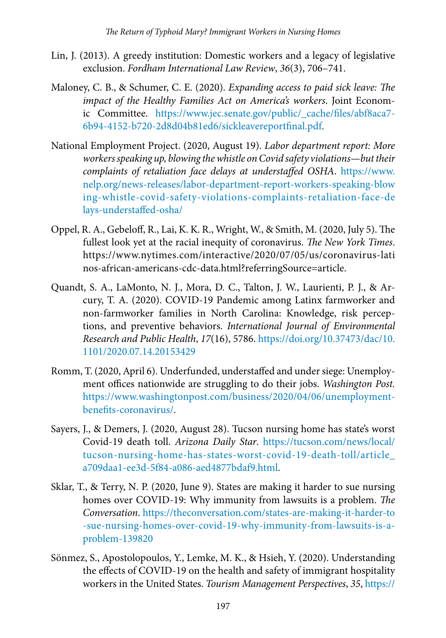- Lin, J. (2013). A greedy institution: Domestic workers and a legacy of legislative exclusion. *Fordham International Law Review*, *36*(3), 706–741.
- Maloney, C. B., & Schumer, C. E. (2020). *Expanding access to paid sick leave: The impact of the Healthy Families Act on America's workers*. Joint Economic Committee. [https://www.jec.senate.gov/public/\\_cache/files/abf8aca7-](https://www.jec.senate.gov/public/_cache/files/abf8aca7-6b94-4152-b720-2d8d04b81ed6/sickleavereportfinal.pdf) [6b94-4152-b720-2d8d04b81ed6/sickleavereportfinal.pdf.](https://www.jec.senate.gov/public/_cache/files/abf8aca7-6b94-4152-b720-2d8d04b81ed6/sickleavereportfinal.pdf)
- National Employment Project. (2020, August 19). *Labor department report: More workers speaking up, blowing the whistle on Covid safety violations—but their complaints of retaliation face delays at understaffed OSHA*. [https://www.](https://www.nelp.org/news-releases/labor-department-report-workers-speaking-blowing-whistle-covid-safety-violations-complaints-retaliation-face-delays-understaffed-osha/) [nelp.org/news-releases/labor-department-report-workers-speaking-blow](https://www.nelp.org/news-releases/labor-department-report-workers-speaking-blowing-whistle-covid-safety-violations-complaints-retaliation-face-delays-understaffed-osha/) [ing-whistle-covid-safety-violations-complaints-retaliation-face-de](https://www.nelp.org/news-releases/labor-department-report-workers-speaking-blowing-whistle-covid-safety-violations-complaints-retaliation-face-delays-understaffed-osha/) [lays-understaffed-osha/](https://www.nelp.org/news-releases/labor-department-report-workers-speaking-blowing-whistle-covid-safety-violations-complaints-retaliation-face-delays-understaffed-osha/)
- Oppel, R. A., Gebeloff, R., Lai, K. K. R., Wright, W., & Smith, M. (2020, July 5). The fullest look yet at the racial inequity of coronavirus. *The New York Times*. https://www.nytimes.com/interactive/2020/07/05/us/coronavirus-lati nos-african-americans-cdc-data.html?referringSource=article.
- Quandt, S. A., LaMonto, N. J., Mora, D. C., Talton, J. W., Laurienti, P. J., & Arcury, T. A. (2020). COVID-19 Pandemic among Latinx farmworker and non-farmworker families in North Carolina: Knowledge, risk perceptions, and preventive behaviors. *International Journal of Environmental Research and Public Health*, *17*(16), 5786. [https://doi.org/10.37473/dac/10.](https://doi.org/10.37473/dac/10.1101/2020.07.14.20153429) [1101/2020.07.14.20153429](https://doi.org/10.37473/dac/10.1101/2020.07.14.20153429)
- Romm, T. (2020, April 6). Underfunded, understaffed and under siege: Unemployment offices nationwide are struggling to do their jobs. *Washington Post.* [https://www.washingtonpost.com/business/2020/04/06/unemployment](https://www.washingtonpost.com/business/2020/04/06/unemployment-benefits-coronavirus/)[benefits-coronavirus/](https://www.washingtonpost.com/business/2020/04/06/unemployment-benefits-coronavirus/).
- Sayers, J., & Demers, J. (2020, August 28). Tucson nursing home has state's worst Covid-19 death toll. *Arizona Daily Star*. [https://tucson.com/news/local/](https://tucson.com/news/local/tucson-nursing-home-has-states-worst-covid-19-death-toll/article_a709daa1-ee3d-5f84-a086-aed4877bdaf9.html) [tucson-nursing-home-has-states-worst-covid-19-death-toll/article\\_](https://tucson.com/news/local/tucson-nursing-home-has-states-worst-covid-19-death-toll/article_a709daa1-ee3d-5f84-a086-aed4877bdaf9.html) [a709daa1-ee3d-5f84-a086-aed4877bdaf9.html.](https://tucson.com/news/local/tucson-nursing-home-has-states-worst-covid-19-death-toll/article_a709daa1-ee3d-5f84-a086-aed4877bdaf9.html)
- Sklar, T., & Terry, N. P. (2020, June 9). States are making it harder to sue nursing homes over COVID-19: Why immunity from lawsuits is a problem. *The Conversation*. [https://theconversation.com/states-are-making-it-harder-to](https://theconversation.com/states-are-making-it-harder-to-sue-nursing-homes-over-covid-19-why-immunity-from-lawsuits-is-a-problem-139820) [-sue-nursing-homes-over-covid-19-why-immunity-from-lawsuits-is-a](https://theconversation.com/states-are-making-it-harder-to-sue-nursing-homes-over-covid-19-why-immunity-from-lawsuits-is-a-problem-139820)[problem-139820](https://theconversation.com/states-are-making-it-harder-to-sue-nursing-homes-over-covid-19-why-immunity-from-lawsuits-is-a-problem-139820)
- Sönmez, S., Apostolopoulos, Y., Lemke, M. K., & Hsieh, Y. (2020). Understanding the effects of COVID-19 on the health and safety of immigrant hospitality workers in the United States. *Tourism Management Perspectives*, *35*, [https://](https://doi.org/10.1016/j.tmp.2020.100717)